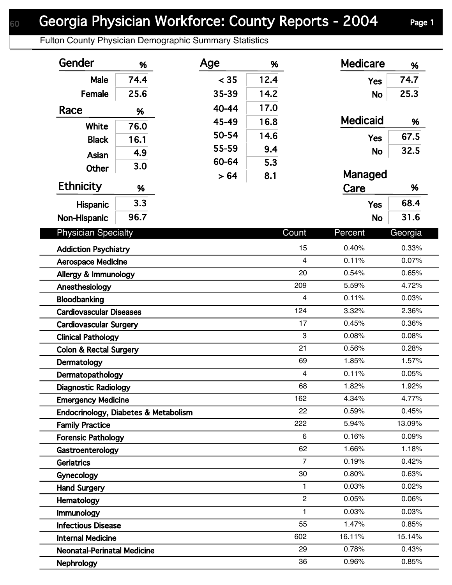Fulton County Physician Demographic Summary Statistics

| < 35<br>12.4<br>74.4<br>74.7<br>Male<br><b>Yes</b><br>25.3<br>Female<br>25.6<br>35-39<br>14.2<br><b>No</b><br>17.0<br>40-44<br>Race<br>%<br><b>Medicaid</b><br>16.8<br>45-49<br>%<br>76.0<br><b>White</b><br>50-54<br>14.6<br>67.5<br><b>Yes</b><br>16.1<br><b>Black</b><br>55-59<br>9.4<br>32.5<br><b>No</b><br>4.9<br>Asian<br>60-64<br>5.3<br>3.0<br><b>Other</b><br>Managed<br>8.1<br>> 64<br><b>Ethnicity</b><br>%<br>Care<br>%<br>3.3<br>68.4<br><b>Yes</b><br><b>Hispanic</b><br>96.7<br>31.6<br>Non-Hispanic<br><b>No</b><br><b>Physician Specialty</b><br>Count<br>Georgia<br>Percent<br>15<br>0.40%<br>0.33%<br><b>Addiction Psychiatry</b><br>$\overline{4}$<br>0.11%<br>0.07%<br><b>Aerospace Medicine</b><br>20<br>0.54%<br>0.65%<br>Allergy & Immunology<br>209<br>5.59%<br>4.72%<br>Anesthesiology<br>0.03%<br>$\overline{\mathbf{4}}$<br>0.11%<br>Bloodbanking<br>124<br>3.32%<br>2.36%<br><b>Cardiovascular Diseases</b><br>17<br>0.45%<br>0.36%<br><b>Cardiovascular Surgery</b><br>3<br>0.08%<br>0.08%<br><b>Clinical Pathology</b><br>21<br>0.56%<br>0.28%<br><b>Colon &amp; Rectal Surgery</b><br>1.85%<br>1.57%<br>69<br>Dermatology<br>$\overline{\mathbf{4}}$<br>0.11%<br>0.05%<br>Dermatopathology<br>68<br>1.82%<br>1.92%<br><b>Diagnostic Radiology</b><br>162<br>4.34%<br>4.77%<br><b>Emergency Medicine</b><br>22<br>0.59%<br>0.45%<br>Endocrinology, Diabetes & Metabolism<br>222<br>5.94%<br>13.09%<br><b>Family Practice</b><br>6<br>0.16%<br>0.09%<br><b>Forensic Pathology</b><br>62<br>1.66%<br>1.18%<br>Gastroenterology<br>$\overline{7}$<br>0.19%<br>0.42%<br>Geriatrics<br>30<br>0.80%<br>0.63%<br>Gynecology<br>$\mathbf{1}$<br>0.03%<br>0.02%<br><b>Hand Surgery</b><br>$\overline{2}$<br>0.05%<br>0.06%<br>Hematology<br>0.03%<br>1<br>0.03%<br>Immunology<br>55<br>1.47%<br>0.85%<br><b>Infectious Disease</b><br>602<br>16.11%<br>15.14%<br><b>Internal Medicine</b><br>29<br>0.78%<br>0.43%<br><b>Neonatal-Perinatal Medicine</b><br>36<br>0.96%<br>0.85% | Gender            | % | Age | % | <b>Medicare</b> | % |
|--------------------------------------------------------------------------------------------------------------------------------------------------------------------------------------------------------------------------------------------------------------------------------------------------------------------------------------------------------------------------------------------------------------------------------------------------------------------------------------------------------------------------------------------------------------------------------------------------------------------------------------------------------------------------------------------------------------------------------------------------------------------------------------------------------------------------------------------------------------------------------------------------------------------------------------------------------------------------------------------------------------------------------------------------------------------------------------------------------------------------------------------------------------------------------------------------------------------------------------------------------------------------------------------------------------------------------------------------------------------------------------------------------------------------------------------------------------------------------------------------------------------------------------------------------------------------------------------------------------------------------------------------------------------------------------------------------------------------------------------------------------------------------------------------------------------------------------------------------------------------------------------------------------------------------------------------------------------------------------------------------|-------------------|---|-----|---|-----------------|---|
|                                                                                                                                                                                                                                                                                                                                                                                                                                                                                                                                                                                                                                                                                                                                                                                                                                                                                                                                                                                                                                                                                                                                                                                                                                                                                                                                                                                                                                                                                                                                                                                                                                                                                                                                                                                                                                                                                                                                                                                                        |                   |   |     |   |                 |   |
|                                                                                                                                                                                                                                                                                                                                                                                                                                                                                                                                                                                                                                                                                                                                                                                                                                                                                                                                                                                                                                                                                                                                                                                                                                                                                                                                                                                                                                                                                                                                                                                                                                                                                                                                                                                                                                                                                                                                                                                                        |                   |   |     |   |                 |   |
|                                                                                                                                                                                                                                                                                                                                                                                                                                                                                                                                                                                                                                                                                                                                                                                                                                                                                                                                                                                                                                                                                                                                                                                                                                                                                                                                                                                                                                                                                                                                                                                                                                                                                                                                                                                                                                                                                                                                                                                                        |                   |   |     |   |                 |   |
|                                                                                                                                                                                                                                                                                                                                                                                                                                                                                                                                                                                                                                                                                                                                                                                                                                                                                                                                                                                                                                                                                                                                                                                                                                                                                                                                                                                                                                                                                                                                                                                                                                                                                                                                                                                                                                                                                                                                                                                                        |                   |   |     |   |                 |   |
|                                                                                                                                                                                                                                                                                                                                                                                                                                                                                                                                                                                                                                                                                                                                                                                                                                                                                                                                                                                                                                                                                                                                                                                                                                                                                                                                                                                                                                                                                                                                                                                                                                                                                                                                                                                                                                                                                                                                                                                                        |                   |   |     |   |                 |   |
|                                                                                                                                                                                                                                                                                                                                                                                                                                                                                                                                                                                                                                                                                                                                                                                                                                                                                                                                                                                                                                                                                                                                                                                                                                                                                                                                                                                                                                                                                                                                                                                                                                                                                                                                                                                                                                                                                                                                                                                                        |                   |   |     |   |                 |   |
|                                                                                                                                                                                                                                                                                                                                                                                                                                                                                                                                                                                                                                                                                                                                                                                                                                                                                                                                                                                                                                                                                                                                                                                                                                                                                                                                                                                                                                                                                                                                                                                                                                                                                                                                                                                                                                                                                                                                                                                                        |                   |   |     |   |                 |   |
|                                                                                                                                                                                                                                                                                                                                                                                                                                                                                                                                                                                                                                                                                                                                                                                                                                                                                                                                                                                                                                                                                                                                                                                                                                                                                                                                                                                                                                                                                                                                                                                                                                                                                                                                                                                                                                                                                                                                                                                                        |                   |   |     |   |                 |   |
|                                                                                                                                                                                                                                                                                                                                                                                                                                                                                                                                                                                                                                                                                                                                                                                                                                                                                                                                                                                                                                                                                                                                                                                                                                                                                                                                                                                                                                                                                                                                                                                                                                                                                                                                                                                                                                                                                                                                                                                                        |                   |   |     |   |                 |   |
|                                                                                                                                                                                                                                                                                                                                                                                                                                                                                                                                                                                                                                                                                                                                                                                                                                                                                                                                                                                                                                                                                                                                                                                                                                                                                                                                                                                                                                                                                                                                                                                                                                                                                                                                                                                                                                                                                                                                                                                                        |                   |   |     |   |                 |   |
|                                                                                                                                                                                                                                                                                                                                                                                                                                                                                                                                                                                                                                                                                                                                                                                                                                                                                                                                                                                                                                                                                                                                                                                                                                                                                                                                                                                                                                                                                                                                                                                                                                                                                                                                                                                                                                                                                                                                                                                                        |                   |   |     |   |                 |   |
|                                                                                                                                                                                                                                                                                                                                                                                                                                                                                                                                                                                                                                                                                                                                                                                                                                                                                                                                                                                                                                                                                                                                                                                                                                                                                                                                                                                                                                                                                                                                                                                                                                                                                                                                                                                                                                                                                                                                                                                                        |                   |   |     |   |                 |   |
|                                                                                                                                                                                                                                                                                                                                                                                                                                                                                                                                                                                                                                                                                                                                                                                                                                                                                                                                                                                                                                                                                                                                                                                                                                                                                                                                                                                                                                                                                                                                                                                                                                                                                                                                                                                                                                                                                                                                                                                                        |                   |   |     |   |                 |   |
|                                                                                                                                                                                                                                                                                                                                                                                                                                                                                                                                                                                                                                                                                                                                                                                                                                                                                                                                                                                                                                                                                                                                                                                                                                                                                                                                                                                                                                                                                                                                                                                                                                                                                                                                                                                                                                                                                                                                                                                                        |                   |   |     |   |                 |   |
|                                                                                                                                                                                                                                                                                                                                                                                                                                                                                                                                                                                                                                                                                                                                                                                                                                                                                                                                                                                                                                                                                                                                                                                                                                                                                                                                                                                                                                                                                                                                                                                                                                                                                                                                                                                                                                                                                                                                                                                                        |                   |   |     |   |                 |   |
|                                                                                                                                                                                                                                                                                                                                                                                                                                                                                                                                                                                                                                                                                                                                                                                                                                                                                                                                                                                                                                                                                                                                                                                                                                                                                                                                                                                                                                                                                                                                                                                                                                                                                                                                                                                                                                                                                                                                                                                                        |                   |   |     |   |                 |   |
|                                                                                                                                                                                                                                                                                                                                                                                                                                                                                                                                                                                                                                                                                                                                                                                                                                                                                                                                                                                                                                                                                                                                                                                                                                                                                                                                                                                                                                                                                                                                                                                                                                                                                                                                                                                                                                                                                                                                                                                                        |                   |   |     |   |                 |   |
|                                                                                                                                                                                                                                                                                                                                                                                                                                                                                                                                                                                                                                                                                                                                                                                                                                                                                                                                                                                                                                                                                                                                                                                                                                                                                                                                                                                                                                                                                                                                                                                                                                                                                                                                                                                                                                                                                                                                                                                                        |                   |   |     |   |                 |   |
|                                                                                                                                                                                                                                                                                                                                                                                                                                                                                                                                                                                                                                                                                                                                                                                                                                                                                                                                                                                                                                                                                                                                                                                                                                                                                                                                                                                                                                                                                                                                                                                                                                                                                                                                                                                                                                                                                                                                                                                                        |                   |   |     |   |                 |   |
|                                                                                                                                                                                                                                                                                                                                                                                                                                                                                                                                                                                                                                                                                                                                                                                                                                                                                                                                                                                                                                                                                                                                                                                                                                                                                                                                                                                                                                                                                                                                                                                                                                                                                                                                                                                                                                                                                                                                                                                                        |                   |   |     |   |                 |   |
|                                                                                                                                                                                                                                                                                                                                                                                                                                                                                                                                                                                                                                                                                                                                                                                                                                                                                                                                                                                                                                                                                                                                                                                                                                                                                                                                                                                                                                                                                                                                                                                                                                                                                                                                                                                                                                                                                                                                                                                                        |                   |   |     |   |                 |   |
|                                                                                                                                                                                                                                                                                                                                                                                                                                                                                                                                                                                                                                                                                                                                                                                                                                                                                                                                                                                                                                                                                                                                                                                                                                                                                                                                                                                                                                                                                                                                                                                                                                                                                                                                                                                                                                                                                                                                                                                                        |                   |   |     |   |                 |   |
|                                                                                                                                                                                                                                                                                                                                                                                                                                                                                                                                                                                                                                                                                                                                                                                                                                                                                                                                                                                                                                                                                                                                                                                                                                                                                                                                                                                                                                                                                                                                                                                                                                                                                                                                                                                                                                                                                                                                                                                                        |                   |   |     |   |                 |   |
|                                                                                                                                                                                                                                                                                                                                                                                                                                                                                                                                                                                                                                                                                                                                                                                                                                                                                                                                                                                                                                                                                                                                                                                                                                                                                                                                                                                                                                                                                                                                                                                                                                                                                                                                                                                                                                                                                                                                                                                                        |                   |   |     |   |                 |   |
|                                                                                                                                                                                                                                                                                                                                                                                                                                                                                                                                                                                                                                                                                                                                                                                                                                                                                                                                                                                                                                                                                                                                                                                                                                                                                                                                                                                                                                                                                                                                                                                                                                                                                                                                                                                                                                                                                                                                                                                                        |                   |   |     |   |                 |   |
|                                                                                                                                                                                                                                                                                                                                                                                                                                                                                                                                                                                                                                                                                                                                                                                                                                                                                                                                                                                                                                                                                                                                                                                                                                                                                                                                                                                                                                                                                                                                                                                                                                                                                                                                                                                                                                                                                                                                                                                                        |                   |   |     |   |                 |   |
|                                                                                                                                                                                                                                                                                                                                                                                                                                                                                                                                                                                                                                                                                                                                                                                                                                                                                                                                                                                                                                                                                                                                                                                                                                                                                                                                                                                                                                                                                                                                                                                                                                                                                                                                                                                                                                                                                                                                                                                                        |                   |   |     |   |                 |   |
|                                                                                                                                                                                                                                                                                                                                                                                                                                                                                                                                                                                                                                                                                                                                                                                                                                                                                                                                                                                                                                                                                                                                                                                                                                                                                                                                                                                                                                                                                                                                                                                                                                                                                                                                                                                                                                                                                                                                                                                                        |                   |   |     |   |                 |   |
|                                                                                                                                                                                                                                                                                                                                                                                                                                                                                                                                                                                                                                                                                                                                                                                                                                                                                                                                                                                                                                                                                                                                                                                                                                                                                                                                                                                                                                                                                                                                                                                                                                                                                                                                                                                                                                                                                                                                                                                                        |                   |   |     |   |                 |   |
|                                                                                                                                                                                                                                                                                                                                                                                                                                                                                                                                                                                                                                                                                                                                                                                                                                                                                                                                                                                                                                                                                                                                                                                                                                                                                                                                                                                                                                                                                                                                                                                                                                                                                                                                                                                                                                                                                                                                                                                                        |                   |   |     |   |                 |   |
|                                                                                                                                                                                                                                                                                                                                                                                                                                                                                                                                                                                                                                                                                                                                                                                                                                                                                                                                                                                                                                                                                                                                                                                                                                                                                                                                                                                                                                                                                                                                                                                                                                                                                                                                                                                                                                                                                                                                                                                                        |                   |   |     |   |                 |   |
|                                                                                                                                                                                                                                                                                                                                                                                                                                                                                                                                                                                                                                                                                                                                                                                                                                                                                                                                                                                                                                                                                                                                                                                                                                                                                                                                                                                                                                                                                                                                                                                                                                                                                                                                                                                                                                                                                                                                                                                                        |                   |   |     |   |                 |   |
|                                                                                                                                                                                                                                                                                                                                                                                                                                                                                                                                                                                                                                                                                                                                                                                                                                                                                                                                                                                                                                                                                                                                                                                                                                                                                                                                                                                                                                                                                                                                                                                                                                                                                                                                                                                                                                                                                                                                                                                                        |                   |   |     |   |                 |   |
|                                                                                                                                                                                                                                                                                                                                                                                                                                                                                                                                                                                                                                                                                                                                                                                                                                                                                                                                                                                                                                                                                                                                                                                                                                                                                                                                                                                                                                                                                                                                                                                                                                                                                                                                                                                                                                                                                                                                                                                                        |                   |   |     |   |                 |   |
|                                                                                                                                                                                                                                                                                                                                                                                                                                                                                                                                                                                                                                                                                                                                                                                                                                                                                                                                                                                                                                                                                                                                                                                                                                                                                                                                                                                                                                                                                                                                                                                                                                                                                                                                                                                                                                                                                                                                                                                                        |                   |   |     |   |                 |   |
|                                                                                                                                                                                                                                                                                                                                                                                                                                                                                                                                                                                                                                                                                                                                                                                                                                                                                                                                                                                                                                                                                                                                                                                                                                                                                                                                                                                                                                                                                                                                                                                                                                                                                                                                                                                                                                                                                                                                                                                                        |                   |   |     |   |                 |   |
|                                                                                                                                                                                                                                                                                                                                                                                                                                                                                                                                                                                                                                                                                                                                                                                                                                                                                                                                                                                                                                                                                                                                                                                                                                                                                                                                                                                                                                                                                                                                                                                                                                                                                                                                                                                                                                                                                                                                                                                                        |                   |   |     |   |                 |   |
|                                                                                                                                                                                                                                                                                                                                                                                                                                                                                                                                                                                                                                                                                                                                                                                                                                                                                                                                                                                                                                                                                                                                                                                                                                                                                                                                                                                                                                                                                                                                                                                                                                                                                                                                                                                                                                                                                                                                                                                                        | <b>Nephrology</b> |   |     |   |                 |   |